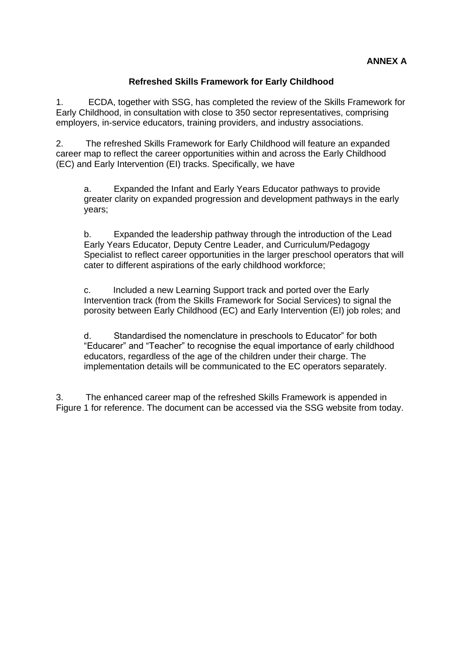## **Refreshed Skills Framework for Early Childhood**

1. ECDA, together with SSG, has completed the review of the Skills Framework for Early Childhood, in consultation with close to 350 sector representatives, comprising employers, in-service educators, training providers, and industry associations.

2. The refreshed Skills Framework for Early Childhood will feature an expanded career map to reflect the career opportunities within and across the Early Childhood (EC) and Early Intervention (EI) tracks. Specifically, we have

a. Expanded the Infant and Early Years Educator pathways to provide greater clarity on expanded progression and development pathways in the early years;

b. Expanded the leadership pathway through the introduction of the Lead Early Years Educator, Deputy Centre Leader, and Curriculum/Pedagogy Specialist to reflect career opportunities in the larger preschool operators that will cater to different aspirations of the early childhood workforce;

c. Included a new Learning Support track and ported over the Early Intervention track (from the Skills Framework for Social Services) to signal the porosity between Early Childhood (EC) and Early Intervention (EI) job roles; and

d. Standardised the nomenclature in preschools to Educator" for both "Educarer" and "Teacher" to recognise the equal importance of early childhood educators, regardless of the age of the children under their charge. The implementation details will be communicated to the EC operators separately.

3. The enhanced career map of the refreshed Skills Framework is appended in Figure 1 for reference. The document can be accessed via the SSG website from today.